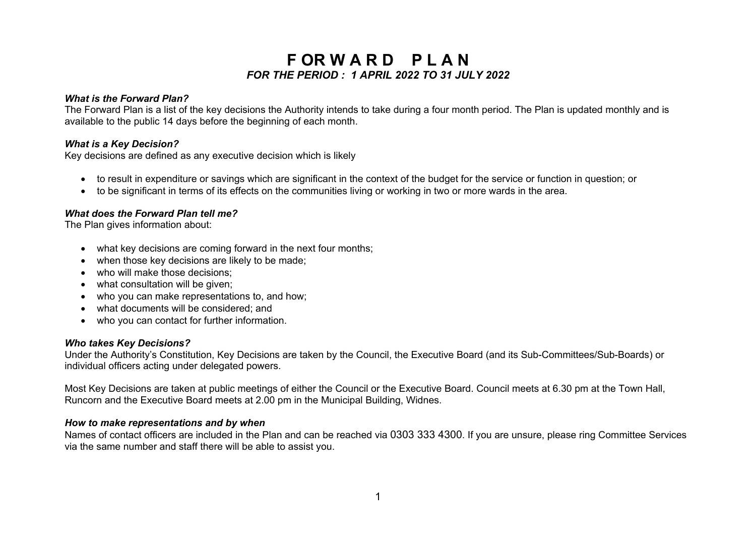# **F OR W A R D P L A N** *FOR THE PERIOD : 1 APRIL 2022 TO 31 JULY 2022*

# *What is the Forward Plan?*

The Forward Plan is a list of the key decisions the Authority intends to take during a four month period. The Plan is updated monthly and is available to the public 14 days before the beginning of each month.

# *What is a Key Decision?*

Key decisions are defined as any executive decision which is likely

- to result in expenditure or savings which are significant in the context of the budget for the service or function in question; or
- to be significant in terms of its effects on the communities living or working in two or more wards in the area.

# *What does the Forward Plan tell me?*

The Plan gives information about:

- what key decisions are coming forward in the next four months;
- when those key decisions are likely to be made;
- who will make those decisions;
- what consultation will be given:
- who you can make representations to, and how:
- what documents will be considered; and
- who you can contact for further information.

#### *Who takes Key Decisions?*

Under the Authority's Constitution, Key Decisions are taken by the Council, the Executive Board (and its Sub-Committees/Sub-Boards) or individual officers acting under delegated powers.

Most Key Decisions are taken at public meetings of either the Council or the Executive Board. Council meets at 6.30 pm at the Town Hall, Runcorn and the Executive Board meets at 2.00 pm in the Municipal Building, Widnes.

#### *How to make representations and by when*

Names of contact officers are included in the Plan and can be reached via 0303 333 4300. If you are unsure, please ring Committee Services via the same number and staff there will be able to assist you.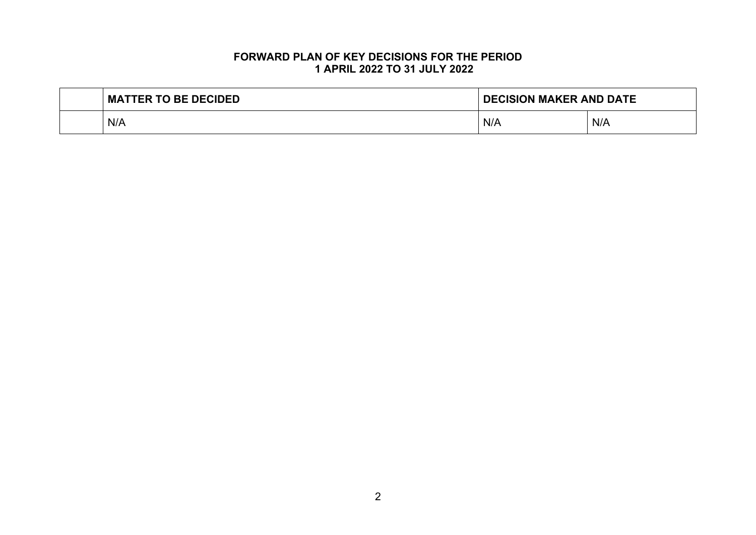# **FORWARD PLAN OF KEY DECISIONS FOR THE PERIOD 1 APRIL 2022 TO 31 JULY 2022**

| <b>MATTER TO BE DECIDED</b> | <b>DECISION MAKER AND DATE</b> |     |
|-----------------------------|--------------------------------|-----|
| N/A                         | N/A                            | N/A |